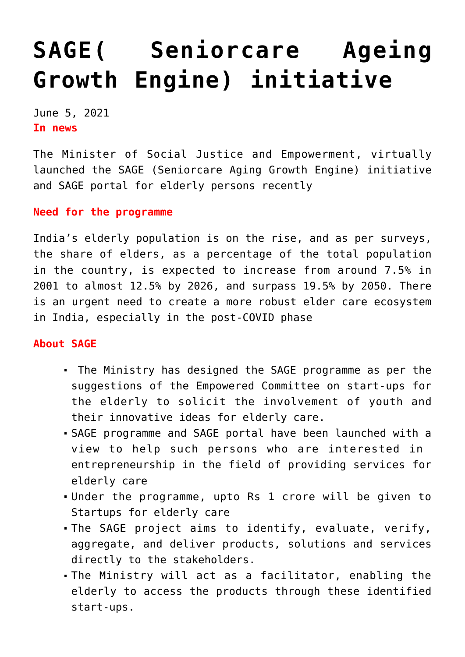## **[SAGE\( Seniorcare Ageing](https://journalsofindia.com/sage-seniorcare-ageing-growth-engine-initiative/) [Growth Engine\) initiative](https://journalsofindia.com/sage-seniorcare-ageing-growth-engine-initiative/)**

June 5, 2021 **In news** 

The Minister of Social Justice and Empowerment, virtually launched the SAGE (Seniorcare Aging Growth Engine) initiative and SAGE portal for elderly persons recently

**Need for the programme**

India's elderly population is on the rise, and as per surveys, the share of elders, as a percentage of the total population in the country, is expected to increase from around 7.5% in 2001 to almost 12.5% by 2026, and surpass 19.5% by 2050. There is an urgent need to create a more robust elder care ecosystem in India, especially in the post-COVID phase

## **About SAGE**

- The Ministry has designed the SAGE programme as per the suggestions of the Empowered Committee on start-ups for the elderly to solicit the involvement of youth and their innovative ideas for elderly care.
- SAGE programme and SAGE portal have been launched with a view to help such persons who are interested in entrepreneurship in the field of providing services for elderly care
- Under the programme, upto Rs 1 crore will be given to Startups for elderly care
- The SAGE project aims to identify, evaluate, verify, aggregate, and deliver products, solutions and services directly to the stakeholders.
- The Ministry will act as a facilitator, enabling the elderly to access the products through these identified start-ups.